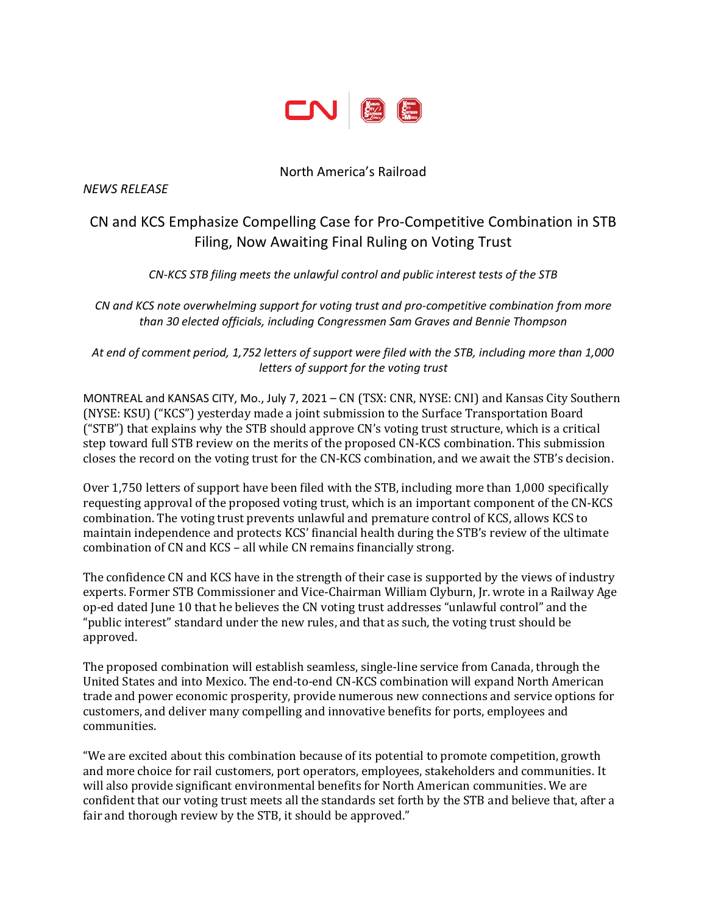

#### North America's Railroad

*NEWS RELEASE*

# CN and KCS Emphasize Compelling Case for Pro-Competitive Combination in STB Filing, Now Awaiting Final Ruling on Voting Trust

*CN-KCS STB filing meets the unlawful control and public interest tests of the STB*

*CN and KCS note overwhelming support for voting trust and pro-competitive combination from more than 30 elected officials, including Congressmen Sam Graves and Bennie Thompson*

*At end of comment period, 1,752 letters of support were filed with the STB, including more than 1,000 letters of support for the voting trust*

MONTREAL and KANSAS CITY, Mo., July 7, 2021 – CN (TSX: CNR, NYSE: CNI) and Kansas City Southern (NYSE: KSU) ("KCS") yesterday made a joint submission to the Surface Transportation Board ("STB") that explains why the STB should approve CN's voting trust structure, which is a critical step toward full STB review on the merits of the proposed CN-KCS combination. This submission closes the record on the voting trust for the CN-KCS combination, and we await the STB's decision.

Over 1,750 letters of support have been filed with the STB, including more than 1,000 specifically requesting approval of the proposed voting trust, which is an important component of the CN-KCS combination. The voting trust prevents unlawful and premature control of KCS, allows KCS to maintain independence and protects KCS' financial health during the STB's review of the ultimate combination of CN and KCS – all while CN remains financially strong.

The confidence CN and KCS have in the strength of their case is supported by the views of industry experts. Former STB Commissioner and Vice-Chairman William Clyburn, Jr. wrote in a Railway Age op-ed dated June 10 that he believes the CN voting trust addresses "unlawful control" and the "public interest" standard under the new rules, and that as such, the voting trust should be approved.

The proposed combination will establish seamless, single-line service from Canada, through the United States and into Mexico. The end-to-end CN-KCS combination will expand North American trade and power economic prosperity, provide numerous new connections and service options for customers, and deliver many compelling and innovative benefits for ports, employees and communities.

"We are excited about this combination because of its potential to promote competition, growth and more choice for rail customers, port operators, employees, stakeholders and communities. It will also provide significant environmental benefits for North American communities. We are confident that our voting trust meets all the standards set forth by the STB and believe that, after a fair and thorough review by the STB, it should be approved."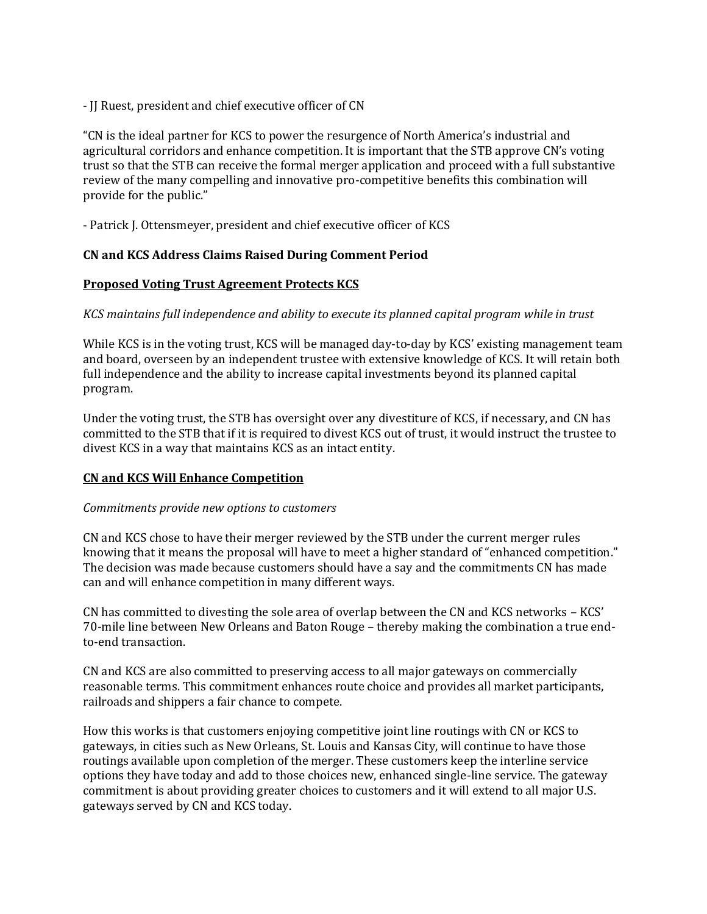- JJ Ruest, president and chief executive officer of CN

"CN is the ideal partner for KCS to power the resurgence of North America's industrial and agricultural corridors and enhance competition. It is important that the STB approve CN's voting trust so that the STB can receive the formal merger application and proceed with a full substantive review of the many compelling and innovative pro-competitive benefits this combination will provide for the public."

- Patrick J. Ottensmeyer, president and chief executive officer of KCS

#### **CN and KCS Address Claims Raised During Comment Period**

#### **Proposed Voting Trust Agreement Protects KCS**

#### *KCS maintains full independence and ability to execute its planned capital program while in trust*

While KCS is in the voting trust, KCS will be managed day-to-day by KCS' existing management team and board, overseen by an independent trustee with extensive knowledge of KCS. It will retain both full independence and the ability to increase capital investments beyond its planned capital program.

Under the voting trust, the STB has oversight over any divestiture of KCS, if necessary, and CN has committed to the STB that if it is required to divest KCS out of trust, it would instruct the trustee to divest KCS in a way that maintains KCS as an intact entity.

#### **CN and KCS Will Enhance Competition**

#### *Commitments provide new options to customers*

CN and KCS chose to have their merger reviewed by the STB under the current merger rules knowing that it means the proposal will have to meet a higher standard of "enhanced competition." The decision was made because customers should have a say and the commitments CN has made can and will enhance competition in many different ways.

CN has committed to divesting the sole area of overlap between the CN and KCS networks – KCS' 70-mile line between New Orleans and Baton Rouge – thereby making the combination a true endto-end transaction.

CN and KCS are also committed to preserving access to all major gateways on commercially reasonable terms. This commitment enhances route choice and provides all market participants, railroads and shippers a fair chance to compete.

How this works is that customers enjoying competitive joint line routings with CN or KCS to gateways, in cities such as New Orleans, St. Louis and Kansas City, will continue to have those routings available upon completion of the merger. These customers keep the interline service options they have today and add to those choices new, enhanced single-line service. The gateway commitment is about providing greater choices to customers and it will extend to all major U.S. gateways served by CN and KCS today.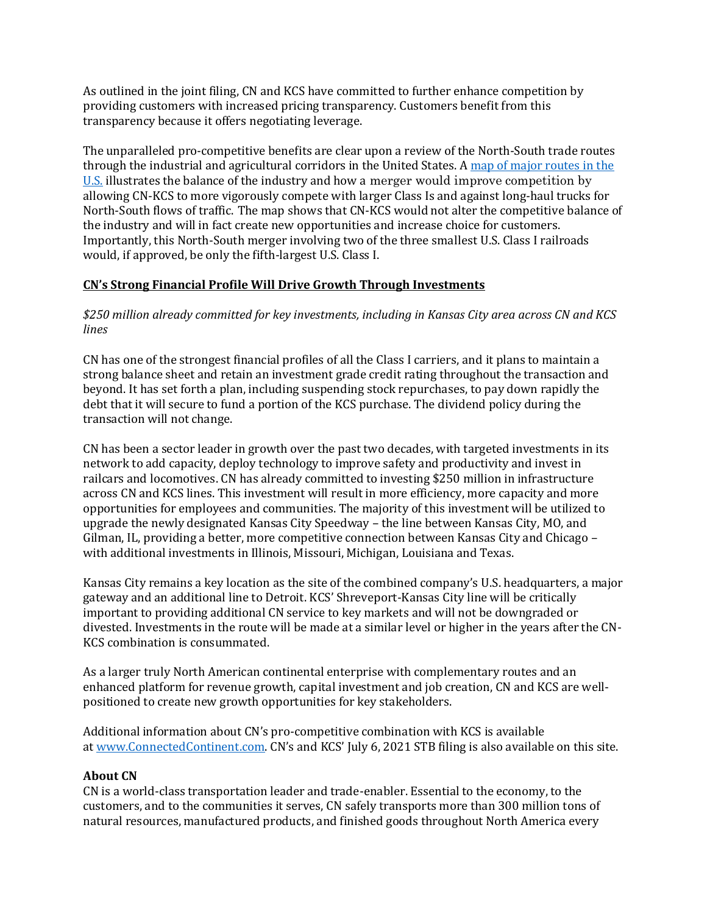As outlined in the joint filing, CN and KCS have committed to further enhance competition by providing customers with increased pricing transparency. Customers benefit from this transparency because it offers negotiating leverage.

The unparalleled pro-competitive benefits are clear upon a review of the North-South trade routes through the industrial and agricultural corridors in the United States. A map of major routes in the [U.S.](https://www.connectedcontinent.com/assets/uploads/pdf/CN-KCS_EnhancedComp_Fact_Sheet_EN.pdf) illustrates the balance of the industry and how a merger would improve competition by allowing CN-KCS to more vigorously compete with larger Class Is and against long-haul trucks for North-South flows of traffic. The map shows that CN-KCS would not alter the competitive balance of the industry and will in fact create new opportunities and increase choice for customers. Importantly, this North-South merger involving two of the three smallest U.S. Class I railroads would, if approved, be only the fifth-largest U.S. Class I.

#### **CN's Strong Financial Profile Will Drive Growth Through Investments**

*\$250 million already committed for key investments, including in Kansas City area across CN and KCS lines*

CN has one of the strongest financial profiles of all the Class I carriers, and it plans to maintain a strong balance sheet and retain an investment grade credit rating throughout the transaction and beyond. It has set forth a plan, including suspending stock repurchases, to pay down rapidly the debt that it will secure to fund a portion of the KCS purchase. The dividend policy during the transaction will not change.

CN has been a sector leader in growth over the past two decades, with targeted investments in its network to add capacity, deploy technology to improve safety and productivity and invest in railcars and locomotives. CN has already committed to investing \$250 million in infrastructure across CN and KCS lines. This investment will result in more efficiency, more capacity and more opportunities for employees and communities. The majority of this investment will be utilized to upgrade the newly designated Kansas City Speedway – the line between Kansas City, MO, and Gilman, IL, providing a better, more competitive connection between Kansas City and Chicago – with additional investments in Illinois, Missouri, Michigan, Louisiana and Texas.

Kansas City remains a key location as the site of the combined company's U.S. headquarters, a major gateway and an additional line to Detroit. KCS' Shreveport-Kansas City line will be critically important to providing additional CN service to key markets and will not be downgraded or divested. Investments in the route will be made at a similar level or higher in the years after the CN-KCS combination is consummated.

As a larger truly North American continental enterprise with complementary routes and an enhanced platform for revenue growth, capital investment and job creation, CN and KCS are wellpositioned to create new growth opportunities for key stakeholders.

Additional information about CN's pro-competitive combination with KCS is available at [www.ConnectedContinent.com](https://www.globenewswire.com/Tracker?data=9rbG0dSnN_V7OIHWC_1UaHnxisuo5maWWsyPjwToW5o4fR6wfF6AoFcr_ZFIv9LpkNd7ODSuBnsVsnwkDimJN-hpUNTU6ayijBgVKdxgyGXUdmX0OQEskToWfdyBUA9q). CN's and KCS' July 6, 2021 STB filing is also available on this site.

#### **About CN**

CN is a world-class transportation leader and trade-enabler. Essential to the economy, to the customers, and to the communities it serves, CN safely transports more than 300 million tons of natural resources, manufactured products, and finished goods throughout North America every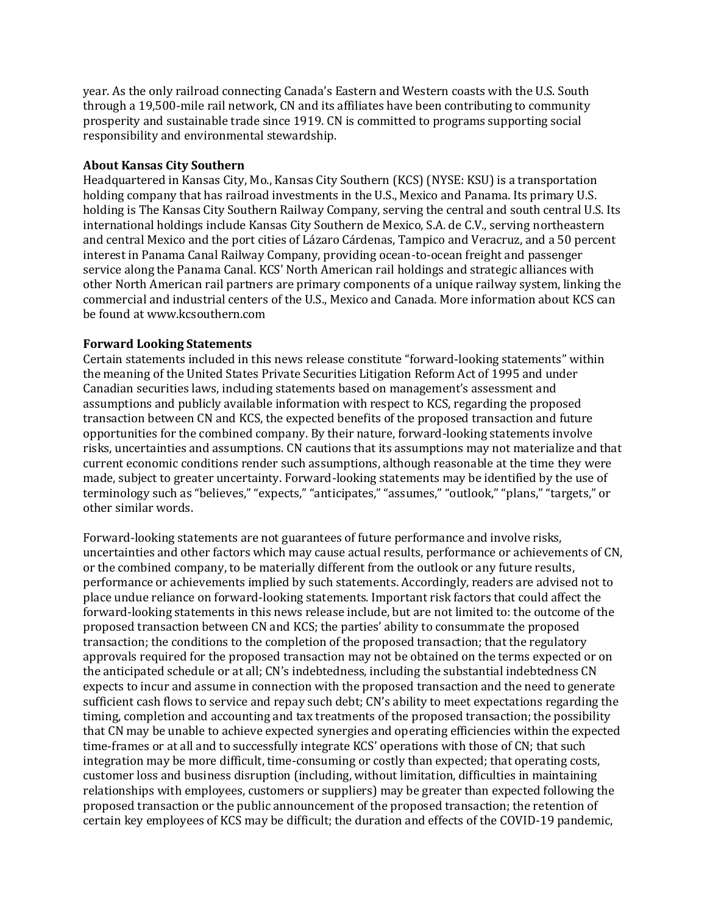year. As the only railroad connecting Canada's Eastern and Western coasts with the U.S. South through a 19,500-mile rail network, CN and its affiliates have been contributing to community prosperity and sustainable trade since 1919. CN is committed to programs supporting social responsibility and environmental stewardship.

#### **About Kansas City Southern**

Headquartered in Kansas City, Mo., Kansas City Southern (KCS) (NYSE: KSU) is a transportation holding company that has railroad investments in the U.S., Mexico and Panama. Its primary U.S. holding is The Kansas City Southern Railway Company, serving the central and south central U.S. Its international holdings include Kansas City Southern de Mexico, S.A. de C.V., serving northeastern and central Mexico and the port cities of Lázaro Cárdenas, Tampico and Veracruz, and a 50 percent interest in Panama Canal Railway Company, providing ocean-to-ocean freight and passenger service along the Panama Canal. KCS' North American rail holdings and strategic alliances with other North American rail partners are primary components of a unique railway system, linking the commercial and industrial centers of the U.S., Mexico and Canada. More information about KCS can be found at www.kcsouthern.com

#### **Forward Looking Statements**

Certain statements included in this news release constitute "forward-looking statements" within the meaning of the United States Private Securities Litigation Reform Act of 1995 and under Canadian securities laws, including statements based on management's assessment and assumptions and publicly available information with respect to KCS, regarding the proposed transaction between CN and KCS, the expected benefits of the proposed transaction and future opportunities for the combined company. By their nature, forward-looking statements involve risks, uncertainties and assumptions. CN cautions that its assumptions may not materialize and that current economic conditions render such assumptions, although reasonable at the time they were made, subject to greater uncertainty. Forward-looking statements may be identified by the use of terminology such as "believes," "expects," "anticipates," "assumes," "outlook," "plans," "targets," or other similar words.

Forward-looking statements are not guarantees of future performance and involve risks, uncertainties and other factors which may cause actual results, performance or achievements of CN, or the combined company, to be materially different from the outlook or any future results, performance or achievements implied by such statements. Accordingly, readers are advised not to place undue reliance on forward-looking statements. Important risk factors that could affect the forward-looking statements in this news release include, but are not limited to: the outcome of the proposed transaction between CN and KCS; the parties' ability to consummate the proposed transaction; the conditions to the completion of the proposed transaction; that the regulatory approvals required for the proposed transaction may not be obtained on the terms expected or on the anticipated schedule or at all; CN's indebtedness, including the substantial indebtedness CN expects to incur and assume in connection with the proposed transaction and the need to generate sufficient cash flows to service and repay such debt; CN's ability to meet expectations regarding the timing, completion and accounting and tax treatments of the proposed transaction; the possibility that CN may be unable to achieve expected synergies and operating efficiencies within the expected time-frames or at all and to successfully integrate KCS' operations with those of CN; that such integration may be more difficult, time-consuming or costly than expected; that operating costs, customer loss and business disruption (including, without limitation, difficulties in maintaining relationships with employees, customers or suppliers) may be greater than expected following the proposed transaction or the public announcement of the proposed transaction; the retention of certain key employees of KCS may be difficult; the duration and effects of the COVID-19 pandemic,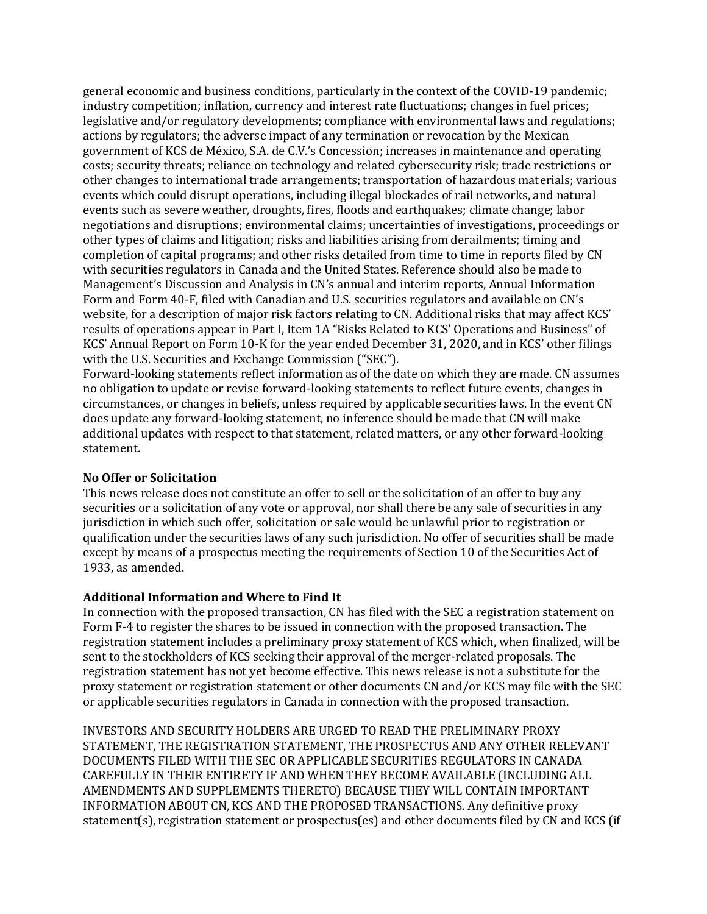general economic and business conditions, particularly in the context of the COVID-19 pandemic; industry competition; inflation, currency and interest rate fluctuations; changes in fuel prices; legislative and/or regulatory developments; compliance with environmental laws and regulations; actions by regulators; the adverse impact of any termination or revocation by the Mexican government of KCS de México, S.A. de C.V.'s Concession; increases in maintenance and operating costs; security threats; reliance on technology and related cybersecurity risk; trade restrictions or other changes to international trade arrangements; transportation of hazardous materials; various events which could disrupt operations, including illegal blockades of rail networks, and natural events such as severe weather, droughts, fires, floods and earthquakes; climate change; labor negotiations and disruptions; environmental claims; uncertainties of investigations, proceedings or other types of claims and litigation; risks and liabilities arising from derailments; timing and completion of capital programs; and other risks detailed from time to time in reports filed by CN with securities regulators in Canada and the United States. Reference should also be made to Management's Discussion and Analysis in CN's annual and interim reports, Annual Information Form and Form 40-F, filed with Canadian and U.S. securities regulators and available on CN's website, for a description of major risk factors relating to CN. Additional risks that may affect KCS' results of operations appear in Part I, Item 1A "Risks Related to KCS' Operations and Business" of KCS' Annual Report on Form 10-K for the year ended December 31, 2020, and in KCS' other filings with the U.S. Securities and Exchange Commission ("SEC").

Forward-looking statements reflect information as of the date on which they are made. CN assumes no obligation to update or revise forward-looking statements to reflect future events, changes in circumstances, or changes in beliefs, unless required by applicable securities laws. In the event CN does update any forward-looking statement, no inference should be made that CN will make additional updates with respect to that statement, related matters, or any other forward-looking statement.

#### **No Offer or Solicitation**

This news release does not constitute an offer to sell or the solicitation of an offer to buy any securities or a solicitation of any vote or approval, nor shall there be any sale of securities in any jurisdiction in which such offer, solicitation or sale would be unlawful prior to registration or qualification under the securities laws of any such jurisdiction. No offer of securities shall be made except by means of a prospectus meeting the requirements of Section 10 of the Securities Act of 1933, as amended.

#### **Additional Information and Where to Find It**

In connection with the proposed transaction, CN has filed with the SEC a registration statement on Form F-4 to register the shares to be issued in connection with the proposed transaction. The registration statement includes a preliminary proxy statement of KCS which, when finalized, will be sent to the stockholders of KCS seeking their approval of the merger-related proposals. The registration statement has not yet become effective. This news release is not a substitute for the proxy statement or registration statement or other documents CN and/or KCS may file with the SEC or applicable securities regulators in Canada in connection with the proposed transaction.

INVESTORS AND SECURITY HOLDERS ARE URGED TO READ THE PRELIMINARY PROXY STATEMENT, THE REGISTRATION STATEMENT, THE PROSPECTUS AND ANY OTHER RELEVANT DOCUMENTS FILED WITH THE SEC OR APPLICABLE SECURITIES REGULATORS IN CANADA CAREFULLY IN THEIR ENTIRETY IF AND WHEN THEY BECOME AVAILABLE (INCLUDING ALL AMENDMENTS AND SUPPLEMENTS THERETO) BECAUSE THEY WILL CONTAIN IMPORTANT INFORMATION ABOUT CN, KCS AND THE PROPOSED TRANSACTIONS. Any definitive proxy statement(s), registration statement or prospectus(es) and other documents filed by CN and KCS (if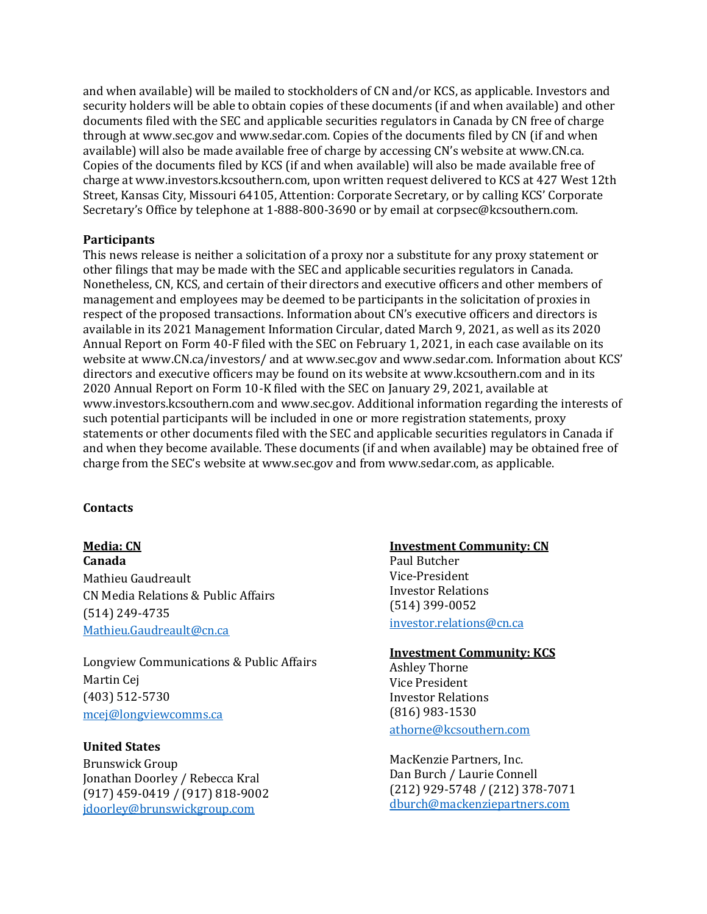and when available) will be mailed to stockholders of CN and/or KCS, as applicable. Investors and security holders will be able to obtain copies of these documents (if and when available) and other documents filed with the SEC and applicable securities regulators in Canada by CN free of charge through at www.sec.gov and www.sedar.com. Copies of the documents filed by CN (if and when available) will also be made available free of charge by accessing CN's website at www.CN.ca. Copies of the documents filed by KCS (if and when available) will also be made available free of charge at www.investors.kcsouthern.com, upon written request delivered to KCS at 427 West 12th Street, Kansas City, Missouri 64105, Attention: Corporate Secretary, or by calling KCS' Corporate Secretary's Office by telephone at 1-888-800-3690 or by email at corpsec@kcsouthern.com.

#### **Participants**

This news release is neither a solicitation of a proxy nor a substitute for any proxy statement or other filings that may be made with the SEC and applicable securities regulators in Canada. Nonetheless, CN, KCS, and certain of their directors and executive officers and other members of management and employees may be deemed to be participants in the solicitation of proxies in respect of the proposed transactions. Information about CN's executive officers and directors is available in its 2021 Management Information Circular, dated March 9, 2021, as well as its 2020 Annual Report on Form 40-F filed with the SEC on February 1, 2021, in each case available on its website at www.CN.ca/investors/ and at www.sec.gov and www.sedar.com. Information about KCS' directors and executive officers may be found on its website at www.kcsouthern.com and in its 2020 Annual Report on Form 10-K filed with the SEC on January 29, 2021, available at www.investors.kcsouthern.com and www.sec.gov. Additional information regarding the interests of such potential participants will be included in one or more registration statements, proxy statements or other documents filed with the SEC and applicable securities regulators in Canada if and when they become available. These documents (if and when available) may be obtained free of charge from the SEC's website at www.sec.gov and from www.sedar.com, as applicable.

#### **Contacts**

### **Media: CN**

**Canada** Mathieu Gaudreault CN Media Relations & Public Affairs (514) 249-4735 [Mathieu.Gaudreault@cn.ca](mailto:Mathieu.Gaudreault@cn.ca)

Longview Communications & Public Affairs Martin Cej (403) 512-5730 [mcej@longviewcomms.ca](mailto:mcej@longviewcomms.ca)

#### **United States**

Brunswick Group Jonathan Doorley / Rebecca Kral (917) 459-0419 / (917) 818-9002 [jdoorley@brunswickgroup.com](mailto:jdoorley@brunswickgroup.com)

#### **Investment Community: CN**

Paul Butcher Vice-President Investor Relations (514) 399-0052 investor.relations@cn.ca

#### **Investment Community: KCS**

Ashley Thorne Vice President Investor Relations (816) 983-1530 [athorne@kcsouthern.com](mailto:athorne@kcsouthern.com)

MacKenzie Partners, Inc. Dan Burch / Laurie Connell (212) 929-5748 / (212) 378-7071 [dburch@mackenziepartners.com](mailto:dburch@mackenziepartners.com)